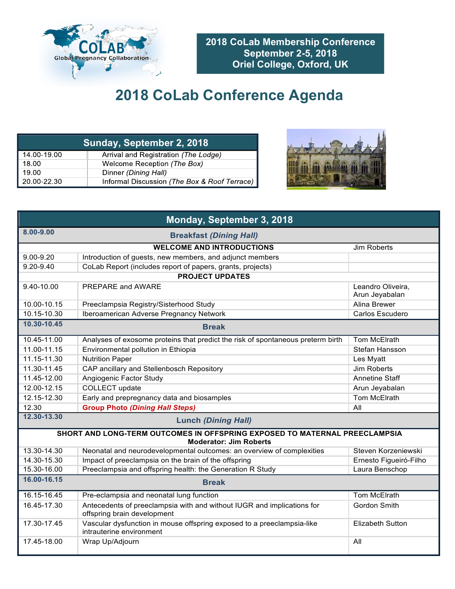

**2018 CoLab Membership Conference September 2-5, 2018 Oriel College, Oxford, UK**

## **2018 CoLab Conference Agenda**

| Sunday, September 2, 2018 |                                              |  |
|---------------------------|----------------------------------------------|--|
| 14.00-19.00               | Arrival and Registration (The Lodge)         |  |
| 18.00                     | Welcome Reception (The Box)                  |  |
| 19.00                     | Dinner (Dining Hall)                         |  |
| 20.00-22.30               | Informal Discussion (The Box & Roof Terrace) |  |



| Monday, September 3, 2018                       |                                                                                                             |                                     |  |
|-------------------------------------------------|-------------------------------------------------------------------------------------------------------------|-------------------------------------|--|
| 8.00-9.00<br><b>Breakfast (Dining Hall)</b>     |                                                                                                             |                                     |  |
| <b>WELCOME AND INTRODUCTIONS</b><br>Jim Roberts |                                                                                                             |                                     |  |
| $9.00 - 9.20$                                   | Introduction of guests, new members, and adjunct members                                                    |                                     |  |
| $9.20 - 9.40$                                   | CoLab Report (includes report of papers, grants, projects)                                                  |                                     |  |
| <b>PROJECT UPDATES</b>                          |                                                                                                             |                                     |  |
| 9.40-10.00                                      | PREPARE and AWARE                                                                                           | Leandro Oliveira,<br>Arun Jeyabalan |  |
| 10.00-10.15                                     | Preeclampsia Registry/Sisterhood Study                                                                      | <b>Alina Brewer</b>                 |  |
| 10.15-10.30                                     | Iberoamerican Adverse Pregnancy Network                                                                     | Carlos Escudero                     |  |
| 10.30-10.45<br><b>Break</b>                     |                                                                                                             |                                     |  |
| 10.45-11.00                                     | Analyses of exosome proteins that predict the risk of spontaneous preterm birth                             | Tom McElrath                        |  |
| 11.00-11.15                                     | Environmental pollution in Ethiopia                                                                         | Stefan Hansson                      |  |
| 11.15-11.30                                     | <b>Nutrition Paper</b>                                                                                      | Les Myatt                           |  |
| 11.30-11.45                                     | CAP ancillary and Stellenbosch Repository                                                                   | Jim Roberts                         |  |
| 11.45-12.00                                     | Angiogenic Factor Study                                                                                     | <b>Annetine Staff</b>               |  |
| 12.00-12.15                                     | COLLECT update                                                                                              | Arun Jeyabalan                      |  |
| 12.15-12.30                                     | Early and prepregnancy data and biosamples                                                                  | Tom McElrath                        |  |
| 12.30                                           | <b>Group Photo (Dining Hall Steps)</b>                                                                      | All                                 |  |
| 12.30-13.30                                     | <b>Lunch (Dining Hall)</b>                                                                                  |                                     |  |
|                                                 | SHORT AND LONG-TERM OUTCOMES IN OFFSPRING EXPOSED TO MATERNAL PREECLAMPSIA<br><b>Moderator: Jim Roberts</b> |                                     |  |
| 13.30-14.30                                     | Neonatal and neurodevelopmental outcomes: an overview of complexities                                       | Steven Korzeniewski                 |  |
| 14.30-15.30                                     | Impact of preeclampsia on the brain of the offspring                                                        | Ernesto Figueiró-Filho              |  |
| 15.30-16.00                                     | Preeclampsia and offspring health: the Generation R Study                                                   | Laura Benschop                      |  |
| 16.00-16.15                                     | <b>Break</b>                                                                                                |                                     |  |
| $16.15 - 16.45$                                 | Pre-eclampsia and neonatal lung function                                                                    | Tom McElrath                        |  |
| 16.45-17.30                                     | Antecedents of preeclampsia with and without IUGR and implications for<br>offspring brain development       | Gordon Smith                        |  |
| 17.30-17.45                                     | Vascular dysfunction in mouse offspring exposed to a preeclampsia-like<br>intrauterine environment          | <b>Elizabeth Sutton</b>             |  |
| 17.45-18.00                                     | Wrap Up/Adjourn                                                                                             | All                                 |  |